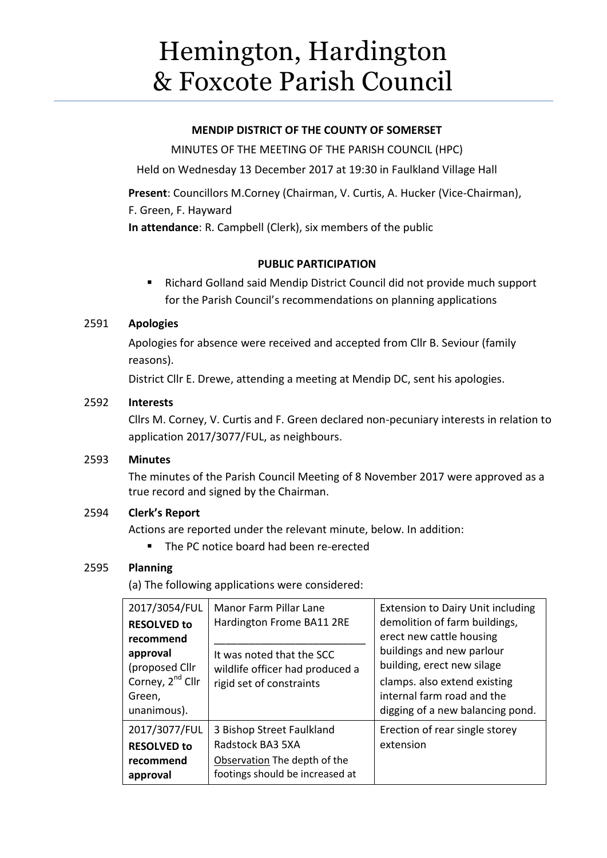# Hemington, Hardington & Foxcote Parish Council

#### **MENDIP DISTRICT OF THE COUNTY OF SOMERSET**

MINUTES OF THE MEETING OF THE PARISH COUNCIL (HPC)

Held on Wednesday 13 December 2017 at 19:30 in Faulkland Village Hall

**Present**: Councillors M.Corney (Chairman, V. Curtis, A. Hucker (Vice-Chairman), F. Green, F. Hayward

**In attendance**: R. Campbell (Clerk), six members of the public

# **PUBLIC PARTICIPATION**

 Richard Golland said Mendip District Council did not provide much support for the Parish Council's recommendations on planning applications

#### 2591 **Apologies**

Apologies for absence were received and accepted from Cllr B. Seviour (family reasons).

District Cllr E. Drewe, attending a meeting at Mendip DC, sent his apologies.

#### 2592 **Interests**

Cllrs M. Corney, V. Curtis and F. Green declared non-pecuniary interests in relation to application 2017/3077/FUL, as neighbours.

#### 2593 **Minutes**

The minutes of the Parish Council Meeting of 8 November 2017 were approved as a true record and signed by the Chairman.

# 2594 **Clerk's Report**

Actions are reported under the relevant minute, below. In addition:

■ The PC notice board had been re-erected

# 2595 **Planning**

(a) The following applications were considered:

| 2017/3054/FUL<br><b>RESOLVED to</b><br>recommend<br>approval<br>(proposed Cllr)<br>Corney, 2 <sup>nd</sup> Cllr<br>Green,<br>unanimous). | Manor Farm Pillar Lane<br>Hardington Frome BA11 2RE<br>It was noted that the SCC<br>wildlife officer had produced a<br>rigid set of constraints | <b>Extension to Dairy Unit including</b><br>demolition of farm buildings,<br>erect new cattle housing<br>buildings and new parlour<br>building, erect new silage<br>clamps. also extend existing<br>internal farm road and the<br>digging of a new balancing pond. |
|------------------------------------------------------------------------------------------------------------------------------------------|-------------------------------------------------------------------------------------------------------------------------------------------------|--------------------------------------------------------------------------------------------------------------------------------------------------------------------------------------------------------------------------------------------------------------------|
| 2017/3077/FUL<br><b>RESOLVED to</b><br>recommend<br>approval                                                                             | 3 Bishop Street Faulkland<br>Radstock BA3 5XA<br>Observation The depth of the<br>footings should be increased at                                | Erection of rear single storey<br>extension                                                                                                                                                                                                                        |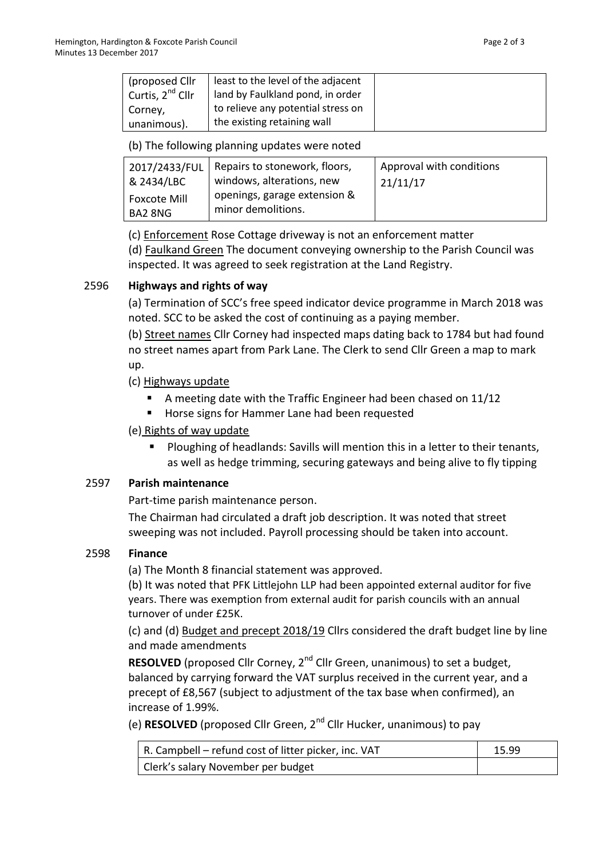| (proposed Cllr)              | least to the level of the adjacent |  |
|------------------------------|------------------------------------|--|
| Curtis, 2 <sup>nd</sup> Cllr | land by Faulkland pond, in order   |  |
| Corney,                      | to relieve any potential stress on |  |
| unanimous).                  | the existing retaining wall        |  |

(b) The following planning updates were noted

| 2017/2433/FUL           | Repairs to stonework, floors,                      | Approval with conditions |
|-------------------------|----------------------------------------------------|--------------------------|
| 8 2434/LBC              | windows, alterations, new                          | 21/11/17                 |
| Foxcote Mill<br>BA2 8NG | openings, garage extension &<br>minor demolitions. |                          |

(c) Enforcement Rose Cottage driveway is not an enforcement matter

(d) Faulkand Green The document conveying ownership to the Parish Council was inspected. It was agreed to seek registration at the Land Registry.

# 2596 **Highways and rights of way**

(a) Termination of SCC's free speed indicator device programme in March 2018 was noted. SCC to be asked the cost of continuing as a paying member.

(b) Street names Cllr Corney had inspected maps dating back to 1784 but had found no street names apart from Park Lane. The Clerk to send Cllr Green a map to mark up.

(c) Highways update

- A meeting date with the Traffic Engineer had been chased on 11/12
- **Horse signs for Hammer Lane had been requested**

# (e) Rights of way update

 Ploughing of headlands: Savills will mention this in a letter to their tenants, as well as hedge trimming, securing gateways and being alive to fly tipping

# 2597 **Parish maintenance**

Part-time parish maintenance person.

The Chairman had circulated a draft job description. It was noted that street sweeping was not included. Payroll processing should be taken into account.

# 2598 **Finance**

(a) The Month 8 financial statement was approved.

(b) It was noted that PFK Littlejohn LLP had been appointed external auditor for five years. There was exemption from external audit for parish councils with an annual turnover of under £25K.

(c) and (d) Budget and precept 2018/19 Cllrs considered the draft budget line by line and made amendments

**RESOLVED** (proposed Cllr Corney, 2<sup>nd</sup> Cllr Green, unanimous) to set a budget, balanced by carrying forward the VAT surplus received in the current year, and a precept of £8,567 (subject to adjustment of the tax base when confirmed), an increase of 1.99%.

(e) **RESOLVED** (proposed Cllr Green, 2nd Cllr Hucker, unanimous) to pay

| $\vert$ R. Campbell – refund cost of litter picker, inc. VAT | 15.99 |
|--------------------------------------------------------------|-------|
| Clerk's salary November per budget                           |       |